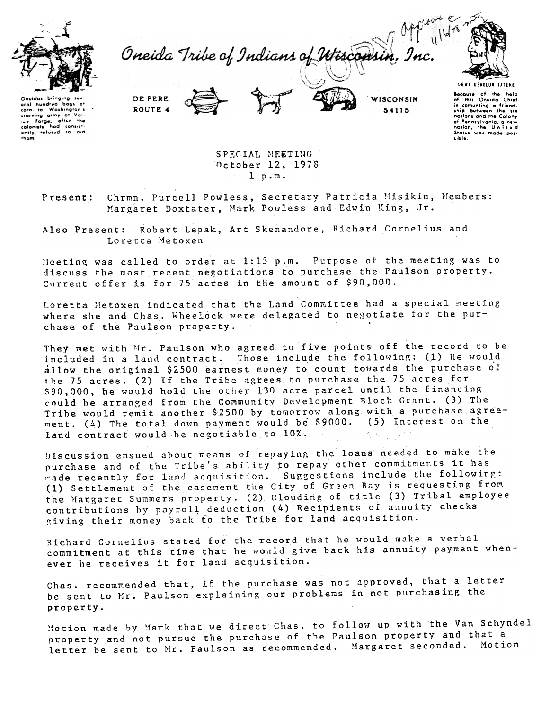

hundred  $h^2$ Washingto

Forga, after the

corn  $10<sub>°</sub>$ starving army at

colonists

ntly them

Oneida Tribe of Indians of Wisconsin



DE PERE ROUTE 4 WISCONSIN 54115

Because of the help **Bocause** of the help<br>of this Oneida Chief<br>in comenting a friend-<br>ship botween the six<br>nations ond the Colony<br>of Pennsylvania, a new .<br>nation, the Halvard Status was made possible.

SPECIAL MEETING October 12, 1978

 $1$   $p.m.$ 

Chrmn. Purcell Powless, Secretary Patricia Misikin, Members: Present: Margaret Doxtater, Mark Powless and Edwin King, Jr.

Robert Lepak, Art Skenandore, Richard Cornelius and Also Present: Loretta Metoxen

Meeting was called to order at 1:15 p.m. Purpose of the meeting was to discuss the most recent negotiations to purchase the Paulson property. Current offer is for 75 acres in the amount of \$90,000.

Loretta Metoxen indicated that the Land Committee had a special meeting where she and Chas. Wheelock were delegated to negotiate for the purchase of the Paulson property.

They met with Mr. Paulson who agreed to five points off the record to be included in a land contract. Those include the following: (1) He would allow the original \$2500 earnest money to count towards the purchase of the 75 acres. (2) If the Tribe agrees to purchase the 75 acres for \$90,000, he would hold the other 130 acre parcel until the financing could be arranged from the Community Development Block Grant. (3) The Tribe would remit another \$2500 by tomorrow along with a purchase agreement. (4) The total down payment would be \$9000. (5) Interest on the land contract would be negotiable to 10%.  $\mathcal{O}_{\mathcal{O}}(\mathcal{O})$ 

Discussion ensued about means of repaying the loans needed to make the purchase and of the Tribe's ability to repay other commitments it has rade recently for land acquisition. Suggestions include the following: (1) Settlement of the easement the City of Green Bay is requesting from the Margaret Summers property. (2) Clouding of title (3) Tribal employee contributions by payroll deduction (4) Recipients of annuity checks giving their money back to the Tribe for land acquisition.

Richard Cornelius stated for the record that he would make a verbal commitment at this time that he would give back his annuity payment whenever he receives it for land acquisition.

Chas. recommended that, if the purchase was not approved, that a letter be sent to Mr. Paulson explaining our problems in not purchasing the property.

Motion made by Mark that we direct Chas. to follow up with the Van Schyndel property and not pursue the purchase of the Paulson property and that a letter be sent to Mr. Paulson as recommended. Margaret seconded. Motion